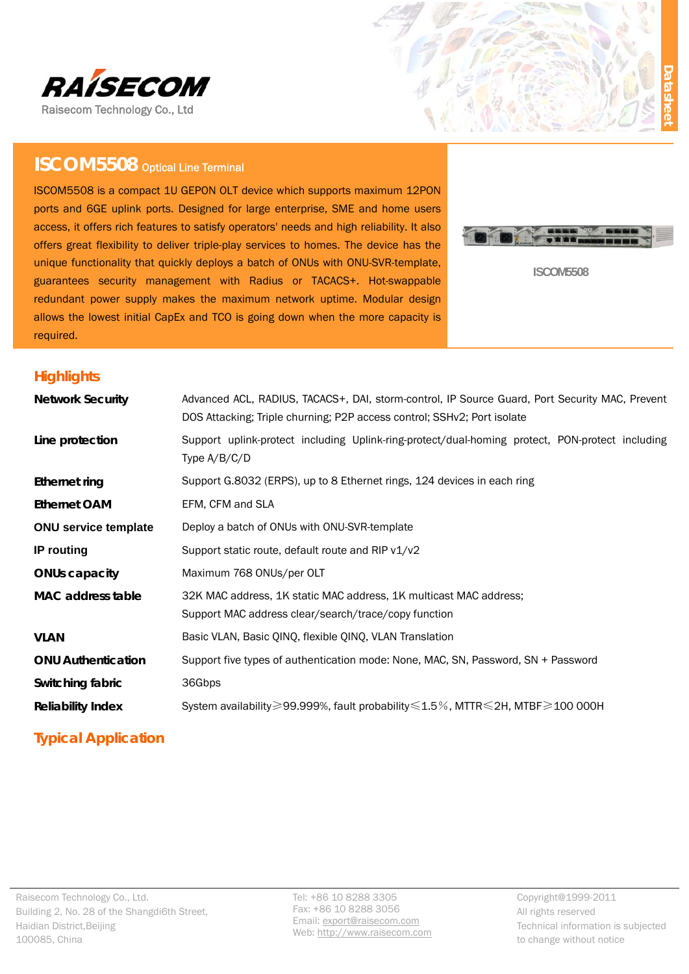

# **ISCOM5508** Optical Line Terminal

ISCOM5508 is a compact 1U GEPON OLT device which supports maximum 12PON ports and 6GE uplink ports. Designed for large enterprise, SME and home users access, it offers rich features to satisfy operators' needs and high reliability. It also offers great flexibility to deliver triple-play services to homes. The device has the unique functionality that quickly deploys a batch of ONUs with ONU-SVR-template, guarantees security management with Radius or TACACS+. Hot-swappable redundant power supply makes the maximum network uptime. Modular design allows the lowest initial CapEx and TCO is going down when the more capacity is required.



**Datasheet** 

**ISCOM5508** 

## **Highlights**

| <b>Network Security</b>     | Advanced ACL, RADIUS, TACACS+, DAI, storm-control, IP Source Guard, Port Security MAC, Prevent<br>DOS Attacking; Triple churning; P2P access control; SSHv2; Port isolate |  |  |
|-----------------------------|---------------------------------------------------------------------------------------------------------------------------------------------------------------------------|--|--|
| Line protection             | Support uplink-protect including Uplink-ring-protect/dual-homing protect, PON-protect including<br>Type $A/B/C/D$                                                         |  |  |
| <b>Ethernet ring</b>        | Support G.8032 (ERPS), up to 8 Ethernet rings, 124 devices in each ring                                                                                                   |  |  |
| <b>Ethernet OAM</b>         | EFM, CFM and SLA                                                                                                                                                          |  |  |
| <b>ONU service template</b> | Deploy a batch of ONUs with ONU-SVR-template                                                                                                                              |  |  |
| <b>IP</b> routing           | Support static route, default route and RIP v1/v2                                                                                                                         |  |  |
| <b>ONUs capacity</b>        | Maximum 768 ONUs/per OLT                                                                                                                                                  |  |  |
| <b>MAC</b> address table    | 32K MAC address, 1K static MAC address, 1K multicast MAC address;<br>Support MAC address clear/search/trace/copy function                                                 |  |  |
| <b>VLAN</b>                 | Basic VLAN, Basic QINQ, flexible QINQ, VLAN Translation                                                                                                                   |  |  |
| <b>ONU Authentication</b>   | Support five types of authentication mode: None, MAC, SN, Password, SN + Password                                                                                         |  |  |
| Switching fabric            | 36Gbps                                                                                                                                                                    |  |  |
| <b>Reliability Index</b>    | System availability≥99.999%, fault probability≤1.5%, MTTR ≤2H, MTBF ≥100 000H                                                                                             |  |  |

# **Typical Application**

Tel: +86 10 8288 3305 Fax: +86 10 8288 3056 Email: export@raisecom.com Web: http://www.raisecom.com Copyright@1999-2011 All rights reserved Technical information is subjected to change without notice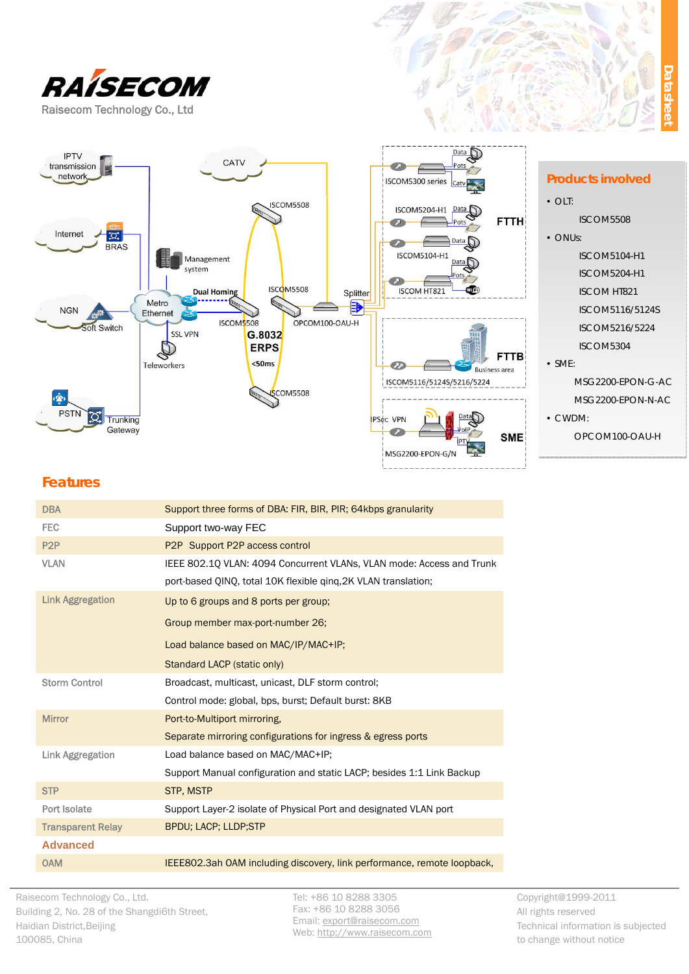



### **Features**

| <b>DBA</b>               | Support three forms of DBA: FIR, BIR, PIR; 64kbps granularity           |  |  |
|--------------------------|-------------------------------------------------------------------------|--|--|
| <b>FEC</b>               | Support two-way FEC                                                     |  |  |
| P <sub>2</sub> P         | P2P Support P2P access control                                          |  |  |
| <b>VLAN</b>              | IEEE 802.10 VLAN: 4094 Concurrent VLANs, VLAN mode: Access and Trunk    |  |  |
|                          | port-based QINQ, total 10K flexible qinq, 2K VLAN translation;          |  |  |
| <b>Link Aggregation</b>  | Up to 6 groups and 8 ports per group;                                   |  |  |
|                          | Group member max-port-number 26;                                        |  |  |
|                          | Load balance based on MAC/IP/MAC+IP;                                    |  |  |
|                          | Standard LACP (static only)                                             |  |  |
| <b>Storm Control</b>     | Broadcast, multicast, unicast, DLF storm control;                       |  |  |
|                          | Control mode: global, bps, burst; Default burst: 8KB                    |  |  |
| <b>Mirror</b>            | Port-to-Multiport mirroring,                                            |  |  |
|                          | Separate mirroring configurations for ingress & egress ports            |  |  |
| <b>Link Aggregation</b>  | Load balance based on MAC/MAC+IP;                                       |  |  |
|                          | Support Manual configuration and static LACP; besides 1:1 Link Backup   |  |  |
| <b>STP</b>               | <b>STP, MSTP</b>                                                        |  |  |
| Port Isolate             | Support Layer-2 isolate of Physical Port and designated VLAN port       |  |  |
| <b>Transparent Relay</b> | <b>BPDU: LACP: LLDP:STP</b>                                             |  |  |
| <b>Advanced</b>          |                                                                         |  |  |
| <b>OAM</b>               | IEEE802.3ah OAM including discovery, link performance, remote loopback, |  |  |

#### Raisecom Technology Co., Ltd. Building 2, No. 28 of the Shangdi6th Street, Haidian District,Beijing 100085, China

Tel: +86 10 8288 3305 Fax: +86 10 8288 3056 Email: export@raisecom.com Web: http://www.raisecom.com Copyright@1999-2011 All rights reserved Technical information is subjected to change without notice

ISCOM5508

ISCOM5104-H1 ISCOM5204-H1 ISCOM HT821 ISCOM5116/5124S ISCOM5216/5224 ISCOM5304

 MSG2200-EPON-G-AC MSG2200-EPON-N-AC

OPCOM100-OAU-H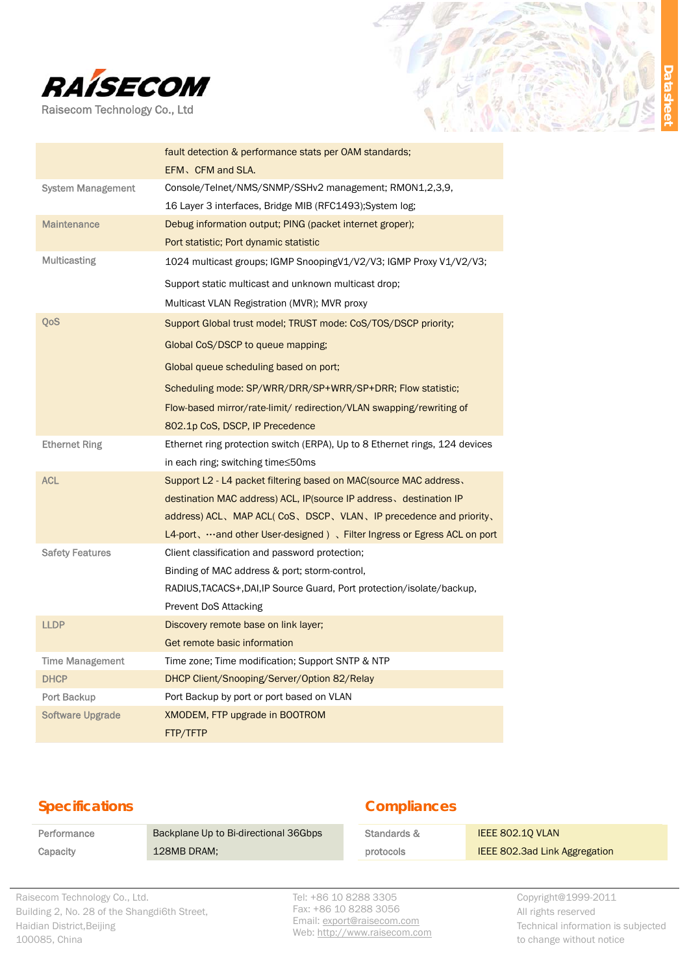

|                          | fault detection & performance stats per OAM standards;                      |  |  |
|--------------------------|-----------------------------------------------------------------------------|--|--|
|                          | EFM, CFM and SLA.                                                           |  |  |
| <b>System Management</b> | Console/Telnet/NMS/SNMP/SSHv2 management; RMON1,2,3,9,                      |  |  |
|                          | 16 Layer 3 interfaces, Bridge MIB (RFC1493); System log;                    |  |  |
| <b>Maintenance</b>       | Debug information output; PING (packet internet groper);                    |  |  |
|                          | Port statistic; Port dynamic statistic                                      |  |  |
| <b>Multicasting</b>      | 1024 multicast groups; IGMP SnoopingV1/V2/V3; IGMP Proxy V1/V2/V3;          |  |  |
|                          | Support static multicast and unknown multicast drop;                        |  |  |
|                          | Multicast VLAN Registration (MVR); MVR proxy                                |  |  |
| QoS                      | Support Global trust model; TRUST mode: CoS/TOS/DSCP priority;              |  |  |
|                          | Global CoS/DSCP to queue mapping;                                           |  |  |
|                          | Global queue scheduling based on port;                                      |  |  |
|                          | Scheduling mode: SP/WRR/DRR/SP+WRR/SP+DRR; Flow statistic;                  |  |  |
|                          | Flow-based mirror/rate-limit/ redirection/VLAN swapping/rewriting of        |  |  |
|                          | 802.1p CoS, DSCP, IP Precedence                                             |  |  |
| <b>Ethernet Ring</b>     | Ethernet ring protection switch (ERPA), Up to 8 Ethernet rings, 124 devices |  |  |
|                          | in each ring; switching time≤50ms                                           |  |  |
| <b>ACL</b>               | Support L2 - L4 packet filtering based on MAC(source MAC address,           |  |  |
|                          | destination MAC address) ACL, IP(source IP address, destination IP          |  |  |
|                          | address) ACL, MAP ACL(CoS, DSCP, VLAN, IP precedence and priority,          |  |  |
|                          | L4-port, …and other User-designed), Filter Ingress or Egress ACL on port    |  |  |
| <b>Safety Features</b>   | Client classification and password protection;                              |  |  |
|                          | Binding of MAC address & port; storm-control,                               |  |  |
|                          | RADIUS, TACACS+, DAI, IP Source Guard, Port protection/isolate/backup,      |  |  |
|                          | <b>Prevent DoS Attacking</b>                                                |  |  |
| <b>LLDP</b>              | Discovery remote base on link layer;                                        |  |  |
|                          | Get remote basic information                                                |  |  |
| <b>Time Management</b>   | Time zone; Time modification; Support SNTP & NTP                            |  |  |
| <b>DHCP</b>              | DHCP Client/Snooping/Server/Option 82/Relay                                 |  |  |
| Port Backup              | Port Backup by port or port based on VLAN                                   |  |  |
| <b>Software Upgrade</b>  | XMODEM, FTP upgrade in BOOTROM                                              |  |  |
|                          | FTP/TFTP                                                                    |  |  |

## **Specifications**

# **Compliances**

| Performance | Backplane Up to Bi-directional 36Gbps | Standards & | IEEE 802.10 VLAN                     |
|-------------|---------------------------------------|-------------|--------------------------------------|
| Capacity    | 128MB DRAM;                           | protocols   | <b>IEEE 802.3ad Link Aggregation</b> |

Raisecom Technology Co., Ltd. Building 2, No. 28 of the Shangdi6th Street, Haidian District,Beijing 100085, China

Tel: +86 10 8288 3305 Fax: +86 10 8288 3056 Email: export@raisecom.com Web: http://www.raisecom.com Copyright@1999-2011 All rights reserved Technical information is subjected to change without notice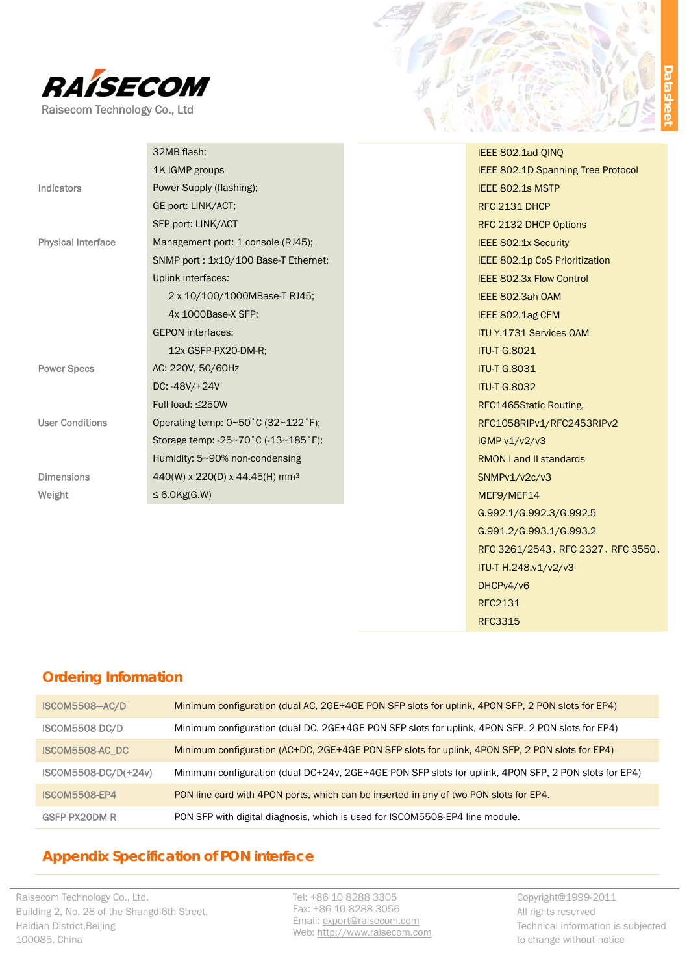

٠

**Datasheet** 

|                           | 32MB flash;                                | IEEE 802.1ad QINQ                  |
|---------------------------|--------------------------------------------|------------------------------------|
|                           | 1K IGMP groups                             | IEEE 802.1D Spanning Tree Protocol |
| <b>Indicators</b>         | Power Supply (flashing);                   | IEEE 802.1s MSTP                   |
|                           | GE port: LINK/ACT;                         | RFC 2131 DHCP                      |
|                           | SFP port: LINK/ACT                         | RFC 2132 DHCP Options              |
| <b>Physical Interface</b> | Management port: 1 console (RJ45);         | <b>IEEE 802.1x Security</b>        |
|                           | SNMP port: 1x10/100 Base-T Ethernet;       | IEEE 802.1p CoS Prioritization     |
|                           | Uplink interfaces:                         | <b>IEEE 802.3x Flow Control</b>    |
|                           | 2 x 10/100/1000MBase-T RJ45;               | IEEE 802.3ah OAM                   |
|                           | 4x 1000Base-X SFP;                         | IEEE 802.1ag CFM                   |
|                           | <b>GEPON interfaces:</b>                   | <b>ITU Y.1731 Services OAM</b>     |
|                           | 12x GSFP-PX20-DM-R;                        | <b>ITU-T G.8021</b>                |
| <b>Power Specs</b>        | AC: 220V, 50/60Hz                          | <b>ITU-T G.8031</b>                |
|                           | DC: -48V/+24V                              | <b>ITU-T G.8032</b>                |
|                           | Full load: ≤250W                           | RFC1465Static Routing,             |
| <b>User Conditions</b>    | Operating temp: 0~50°C (32~122°F);         | RFC1058RIPv1/RFC2453RIPv2          |
|                           | Storage temp: -25~70°C (-13~185°F);        | IGMP v1/v2/v3                      |
|                           | Humidity: 5~90% non-condensing             | <b>RMON I and II standards</b>     |
| <b>Dimensions</b>         | 440(W) x 220(D) x 44.45(H) mm <sup>3</sup> | SNMPv1/v2c/v3                      |
| Weight                    | $\leq$ 6.0Kg(G.W)                          | MEF9/MEF14                         |
|                           |                                            | G.992.1/G.992.3/G.992.5            |
|                           |                                            | G.991.2/G.993.1/G.993.2            |
|                           |                                            | RFC 3261/2543、RFC 2327、RFC 3550、   |
|                           |                                            | ITU-T H.248.v1/v2/v3               |
|                           |                                            | DHCPv4/v6                          |

### **Ordering Information**

| ISCOM5508-AC/D         | Minimum configuration (dual AC, 2GE+4GE PON SFP slots for uplink, 4PON SFP, 2 PON slots for EP4)     |
|------------------------|------------------------------------------------------------------------------------------------------|
| ISCOM5508-DC/D         | Minimum configuration (dual DC, 2GE+4GE PON SFP slots for uplink, 4PON SFP, 2 PON slots for EP4)     |
| <b>ISCOM5508-AC DC</b> | Minimum configuration (AC+DC, 2GE+4GE PON SFP slots for uplink, 4PON SFP, 2 PON slots for EP4)       |
| ISCOM5508-DC/D(+24v)   | Minimum configuration (dual DC+24v, 2GE+4GE PON SFP slots for uplink, 4PON SFP, 2 PON slots for EP4) |
| <b>ISCOM5508-EP4</b>   | PON line card with 4PON ports, which can be inserted in any of two PON slots for EP4.                |
| GSFP-PX20DM-R          | PON SFP with digital diagnosis, which is used for ISCOM5508-EP4 line module.                         |

# **Appendix Specification of PON interface**

Raisecom Technology Co., Ltd. Building 2, No. 28 of the Shangdi6th Street, Haidian District,Beijing 100085, China

Tel: +86 10 8288 3305 Fax: +86 10 8288 3056 Email: export@raisecom.com Web: http://www.raisecom.com Copyright@1999-2011 All rights reserved Technical information is subjected to change without notice

RFC2131 RFC3315